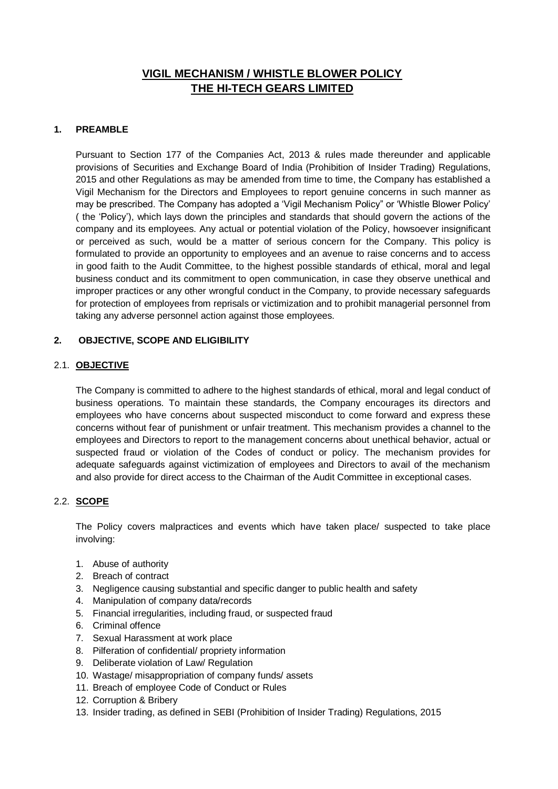# **VIGIL MECHANISM / WHISTLE BLOWER POLICY THE HI-TECH GEARS LIMITED**

# **1. PREAMBLE**

Pursuant to Section 177 of the Companies Act, 2013 & rules made thereunder and applicable provisions of Securities and Exchange Board of India (Prohibition of Insider Trading) Regulations, 2015 and other Regulations as may be amended from time to time, the Company has established a Vigil Mechanism for the Directors and Employees to report genuine concerns in such manner as may be prescribed. The Company has adopted a 'Vigil Mechanism Policy" or 'Whistle Blower Policy' ( the 'Policy'), which lays down the principles and standards that should govern the actions of the company and its employees. Any actual or potential violation of the Policy, howsoever insignificant or perceived as such, would be a matter of serious concern for the Company. This policy is formulated to provide an opportunity to employees and an avenue to raise concerns and to access in good faith to the Audit Committee, to the highest possible standards of ethical, moral and legal business conduct and its commitment to open communication, in case they observe unethical and improper practices or any other wrongful conduct in the Company, to provide necessary safeguards for protection of employees from reprisals or victimization and to prohibit managerial personnel from taking any adverse personnel action against those employees.

# **2. OBJECTIVE, SCOPE AND ELIGIBILITY**

### 2.1. **OBJECTIVE**

The Company is committed to adhere to the highest standards of ethical, moral and legal conduct of business operations. To maintain these standards, the Company encourages its directors and employees who have concerns about suspected misconduct to come forward and express these concerns without fear of punishment or unfair treatment. This mechanism provides a channel to the employees and Directors to report to the management concerns about unethical behavior, actual or suspected fraud or violation of the Codes of conduct or policy. The mechanism provides for adequate safeguards against victimization of employees and Directors to avail of the mechanism and also provide for direct access to the Chairman of the Audit Committee in exceptional cases.

# 2.2. **SCOPE**

The Policy covers malpractices and events which have taken place/ suspected to take place involving:

- 1. Abuse of authority
- 2. Breach of contract
- 3. Negligence causing substantial and specific danger to public health and safety
- 4. Manipulation of company data/records
- 5. Financial irregularities, including fraud, or suspected fraud
- 6. Criminal offence
- 7. Sexual Harassment at work place
- 8. Pilferation of confidential/ propriety information
- 9. Deliberate violation of Law/ Regulation
- 10. Wastage/ misappropriation of company funds/ assets
- 11. Breach of employee Code of Conduct or Rules
- 12. Corruption & Bribery
- 13. Insider trading, as defined in SEBI (Prohibition of Insider Trading) Regulations, 2015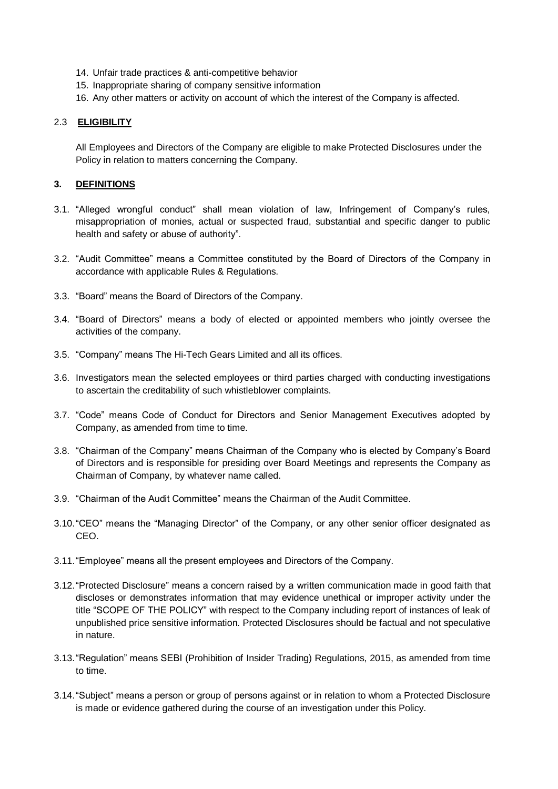- 14. Unfair trade practices & anti-competitive behavior
- 15. Inappropriate sharing of company sensitive information
- 16. Any other matters or activity on account of which the interest of the Company is affected.

# 2.3 **ELIGIBILITY**

All Employees and Directors of the Company are eligible to make Protected Disclosures under the Policy in relation to matters concerning the Company.

# **3. DEFINITIONS**

- 3.1. "Alleged wrongful conduct" shall mean violation of law, Infringement of Company's rules, misappropriation of monies, actual or suspected fraud, substantial and specific danger to public health and safety or abuse of authority".
- 3.2. "Audit Committee" means a Committee constituted by the Board of Directors of the Company in accordance with applicable Rules & Regulations.
- 3.3. "Board" means the Board of Directors of the Company.
- 3.4. "Board of Directors" means a body of elected or appointed members who jointly oversee the activities of the company.
- 3.5. "Company" means The Hi-Tech Gears Limited and all its offices.
- 3.6. Investigators mean the selected employees or third parties charged with conducting investigations to ascertain the creditability of such whistleblower complaints.
- 3.7. "Code" means Code of Conduct for Directors and Senior Management Executives adopted by Company, as amended from time to time.
- 3.8. "Chairman of the Company" means Chairman of the Company who is elected by Company's Board of Directors and is responsible for presiding over Board Meetings and represents the Company as Chairman of Company, by whatever name called.
- 3.9. "Chairman of the Audit Committee" means the Chairman of the Audit Committee.
- 3.10."CEO" means the "Managing Director" of the Company, or any other senior officer designated as CEO.
- 3.11."Employee" means all the present employees and Directors of the Company.
- 3.12."Protected Disclosure" means a concern raised by a written communication made in good faith that discloses or demonstrates information that may evidence unethical or improper activity under the title "SCOPE OF THE POLICY" with respect to the Company including report of instances of leak of unpublished price sensitive information. Protected Disclosures should be factual and not speculative in nature.
- 3.13."Regulation" means SEBI (Prohibition of Insider Trading) Regulations, 2015, as amended from time to time.
- 3.14."Subject" means a person or group of persons against or in relation to whom a Protected Disclosure is made or evidence gathered during the course of an investigation under this Policy.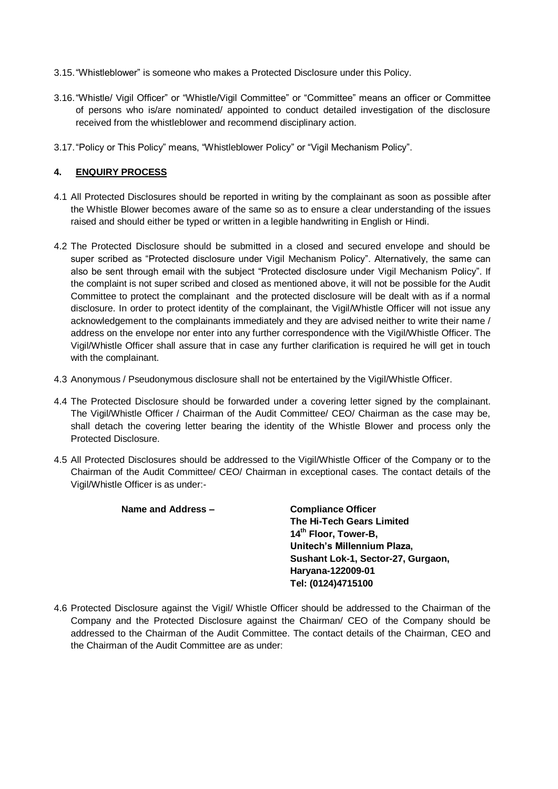- 3.15."Whistleblower" is someone who makes a Protected Disclosure under this Policy.
- 3.16."Whistle/ Vigil Officer" or "Whistle/Vigil Committee" or "Committee" means an officer or Committee of persons who is/are nominated/ appointed to conduct detailed investigation of the disclosure received from the whistleblower and recommend disciplinary action.
- 3.17."Policy or This Policy" means, "Whistleblower Policy" or "Vigil Mechanism Policy".

### **4. ENQUIRY PROCESS**

- 4.1 All Protected Disclosures should be reported in writing by the complainant as soon as possible after the Whistle Blower becomes aware of the same so as to ensure a clear understanding of the issues raised and should either be typed or written in a legible handwriting in English or Hindi.
- 4.2 The Protected Disclosure should be submitted in a closed and secured envelope and should be super scribed as "Protected disclosure under Vigil Mechanism Policy". Alternatively, the same can also be sent through email with the subject "Protected disclosure under Vigil Mechanism Policy". If the complaint is not super scribed and closed as mentioned above, it will not be possible for the Audit Committee to protect the complainant and the protected disclosure will be dealt with as if a normal disclosure. In order to protect identity of the complainant, the Vigil/Whistle Officer will not issue any acknowledgement to the complainants immediately and they are advised neither to write their name / address on the envelope nor enter into any further correspondence with the Vigil/Whistle Officer. The Vigil/Whistle Officer shall assure that in case any further clarification is required he will get in touch with the complainant.
- 4.3 Anonymous / Pseudonymous disclosure shall not be entertained by the Vigil/Whistle Officer.
- 4.4 The Protected Disclosure should be forwarded under a covering letter signed by the complainant. The Vigil/Whistle Officer / Chairman of the Audit Committee/ CEO/ Chairman as the case may be, shall detach the covering letter bearing the identity of the Whistle Blower and process only the Protected Disclosure.
- 4.5 All Protected Disclosures should be addressed to the Vigil/Whistle Officer of the Company or to the Chairman of the Audit Committee/ CEO/ Chairman in exceptional cases. The contact details of the Vigil/Whistle Officer is as under:-

#### **Name and Address – Compliance Officer**

**The Hi-Tech Gears Limited 14th Floor, Tower-B, Unitech's Millennium Plaza, Sushant Lok-1, Sector-27, Gurgaon, Haryana-122009-01 Tel: (0124)4715100**

4.6 Protected Disclosure against the Vigil/ Whistle Officer should be addressed to the Chairman of the Company and the Protected Disclosure against the Chairman/ CEO of the Company should be addressed to the Chairman of the Audit Committee. The contact details of the Chairman, CEO and the Chairman of the Audit Committee are as under: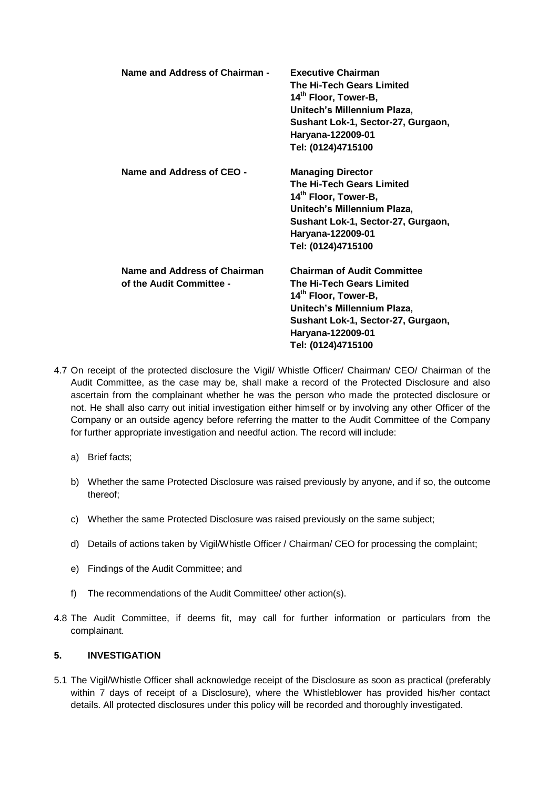| Name and Address of Chairman -                           | <b>Executive Chairman</b><br><b>The Hi-Tech Gears Limited</b><br>14 <sup>th</sup> Floor, Tower-B,<br>Unitech's Millennium Plaza,<br>Sushant Lok-1, Sector-27, Gurgaon,<br>Haryana-122009-01<br>Tel: (0124)4715100   |
|----------------------------------------------------------|---------------------------------------------------------------------------------------------------------------------------------------------------------------------------------------------------------------------|
| Name and Address of CEO -                                | <b>Managing Director</b><br>The Hi-Tech Gears Limited<br>14 <sup>th</sup> Floor, Tower-B,<br>Unitech's Millennium Plaza,<br>Sushant Lok-1, Sector-27, Gurgaon,<br>Haryana-122009-01<br>Tel: (0124)4715100           |
| Name and Address of Chairman<br>of the Audit Committee - | <b>Chairman of Audit Committee</b><br>The Hi-Tech Gears Limited<br>14 <sup>th</sup> Floor, Tower-B,<br>Unitech's Millennium Plaza,<br>Sushant Lok-1, Sector-27, Gurgaon,<br>Haryana-122009-01<br>Tel: (0124)4715100 |

- 4.7 On receipt of the protected disclosure the Vigil/ Whistle Officer/ Chairman/ CEO/ Chairman of the Audit Committee, as the case may be, shall make a record of the Protected Disclosure and also ascertain from the complainant whether he was the person who made the protected disclosure or not. He shall also carry out initial investigation either himself or by involving any other Officer of the Company or an outside agency before referring the matter to the Audit Committee of the Company for further appropriate investigation and needful action. The record will include:
	- a) Brief facts;
	- b) Whether the same Protected Disclosure was raised previously by anyone, and if so, the outcome thereof;
	- c) Whether the same Protected Disclosure was raised previously on the same subject;
	- d) Details of actions taken by Vigil/Whistle Officer / Chairman/ CEO for processing the complaint;
	- e) Findings of the Audit Committee; and
	- f) The recommendations of the Audit Committee/ other action(s).
- 4.8 The Audit Committee, if deems fit, may call for further information or particulars from the complainant.

#### **5. INVESTIGATION**

5.1 The Vigil/Whistle Officer shall acknowledge receipt of the Disclosure as soon as practical (preferably within 7 days of receipt of a Disclosure), where the Whistleblower has provided his/her contact details. All protected disclosures under this policy will be recorded and thoroughly investigated.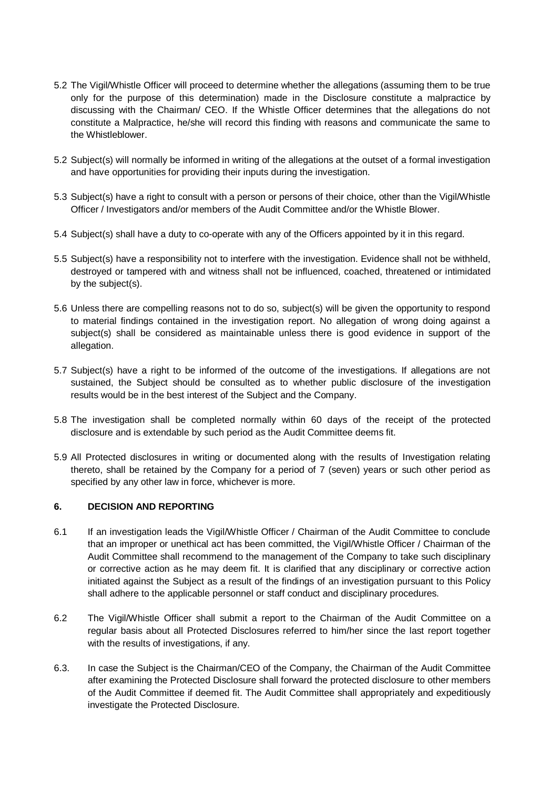- 5.2 The Vigil/Whistle Officer will proceed to determine whether the allegations (assuming them to be true only for the purpose of this determination) made in the Disclosure constitute a malpractice by discussing with the Chairman/ CEO. If the Whistle Officer determines that the allegations do not constitute a Malpractice, he/she will record this finding with reasons and communicate the same to the Whistleblower.
- 5.2 Subject(s) will normally be informed in writing of the allegations at the outset of a formal investigation and have opportunities for providing their inputs during the investigation.
- 5.3 Subject(s) have a right to consult with a person or persons of their choice, other than the Vigil/Whistle Officer / Investigators and/or members of the Audit Committee and/or the Whistle Blower.
- 5.4 Subject(s) shall have a duty to co-operate with any of the Officers appointed by it in this regard.
- 5.5 Subject(s) have a responsibility not to interfere with the investigation. Evidence shall not be withheld, destroyed or tampered with and witness shall not be influenced, coached, threatened or intimidated by the subject(s).
- 5.6 Unless there are compelling reasons not to do so, subject(s) will be given the opportunity to respond to material findings contained in the investigation report. No allegation of wrong doing against a subject(s) shall be considered as maintainable unless there is good evidence in support of the allegation.
- 5.7 Subject(s) have a right to be informed of the outcome of the investigations. If allegations are not sustained, the Subject should be consulted as to whether public disclosure of the investigation results would be in the best interest of the Subject and the Company.
- 5.8 The investigation shall be completed normally within 60 days of the receipt of the protected disclosure and is extendable by such period as the Audit Committee deems fit.
- 5.9 All Protected disclosures in writing or documented along with the results of Investigation relating thereto, shall be retained by the Company for a period of 7 (seven) years or such other period as specified by any other law in force, whichever is more.

### **6. DECISION AND REPORTING**

- 6.1 If an investigation leads the Vigil/Whistle Officer / Chairman of the Audit Committee to conclude that an improper or unethical act has been committed, the Vigil/Whistle Officer / Chairman of the Audit Committee shall recommend to the management of the Company to take such disciplinary or corrective action as he may deem fit. It is clarified that any disciplinary or corrective action initiated against the Subject as a result of the findings of an investigation pursuant to this Policy shall adhere to the applicable personnel or staff conduct and disciplinary procedures.
- 6.2 The Vigil/Whistle Officer shall submit a report to the Chairman of the Audit Committee on a regular basis about all Protected Disclosures referred to him/her since the last report together with the results of investigations, if any.
- 6.3. In case the Subject is the Chairman/CEO of the Company, the Chairman of the Audit Committee after examining the Protected Disclosure shall forward the protected disclosure to other members of the Audit Committee if deemed fit. The Audit Committee shall appropriately and expeditiously investigate the Protected Disclosure.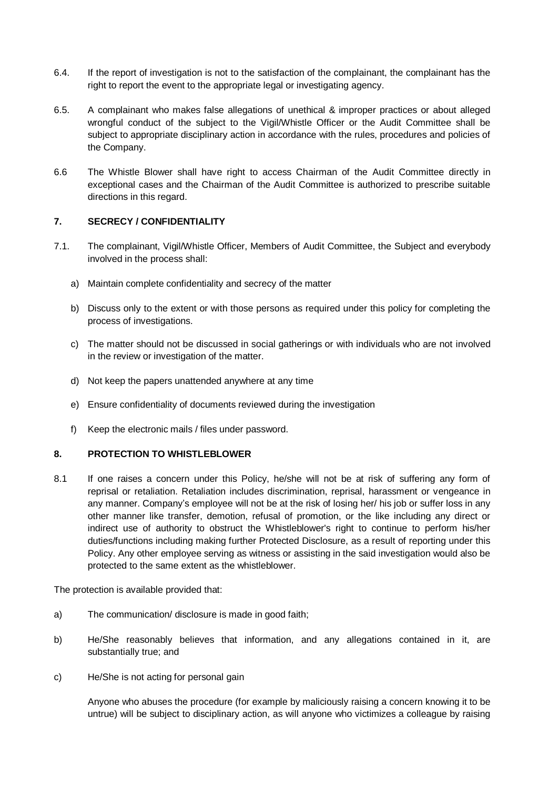- 6.4. If the report of investigation is not to the satisfaction of the complainant, the complainant has the right to report the event to the appropriate legal or investigating agency.
- 6.5. A complainant who makes false allegations of unethical & improper practices or about alleged wrongful conduct of the subject to the Vigil/Whistle Officer or the Audit Committee shall be subject to appropriate disciplinary action in accordance with the rules, procedures and policies of the Company.
- 6.6 The Whistle Blower shall have right to access Chairman of the Audit Committee directly in exceptional cases and the Chairman of the Audit Committee is authorized to prescribe suitable directions in this regard.

# **7. SECRECY / CONFIDENTIALITY**

- 7.1. The complainant, Vigil/Whistle Officer, Members of Audit Committee, the Subject and everybody involved in the process shall:
	- a) Maintain complete confidentiality and secrecy of the matter
	- b) Discuss only to the extent or with those persons as required under this policy for completing the process of investigations.
	- c) The matter should not be discussed in social gatherings or with individuals who are not involved in the review or investigation of the matter.
	- d) Not keep the papers unattended anywhere at any time
	- e) Ensure confidentiality of documents reviewed during the investigation
	- f) Keep the electronic mails / files under password.

#### **8. PROTECTION TO WHISTLEBLOWER**

8.1 If one raises a concern under this Policy, he/she will not be at risk of suffering any form of reprisal or retaliation. Retaliation includes discrimination, reprisal, harassment or vengeance in any manner. Company's employee will not be at the risk of losing her/ his job or suffer loss in any other manner like transfer, demotion, refusal of promotion, or the like including any direct or indirect use of authority to obstruct the Whistleblower's right to continue to perform his/her duties/functions including making further Protected Disclosure, as a result of reporting under this Policy. Any other employee serving as witness or assisting in the said investigation would also be protected to the same extent as the whistleblower.

The protection is available provided that:

- a) The communication/ disclosure is made in good faith;
- b) He/She reasonably believes that information, and any allegations contained in it, are substantially true; and
- c) He/She is not acting for personal gain

Anyone who abuses the procedure (for example by maliciously raising a concern knowing it to be untrue) will be subject to disciplinary action, as will anyone who victimizes a colleague by raising